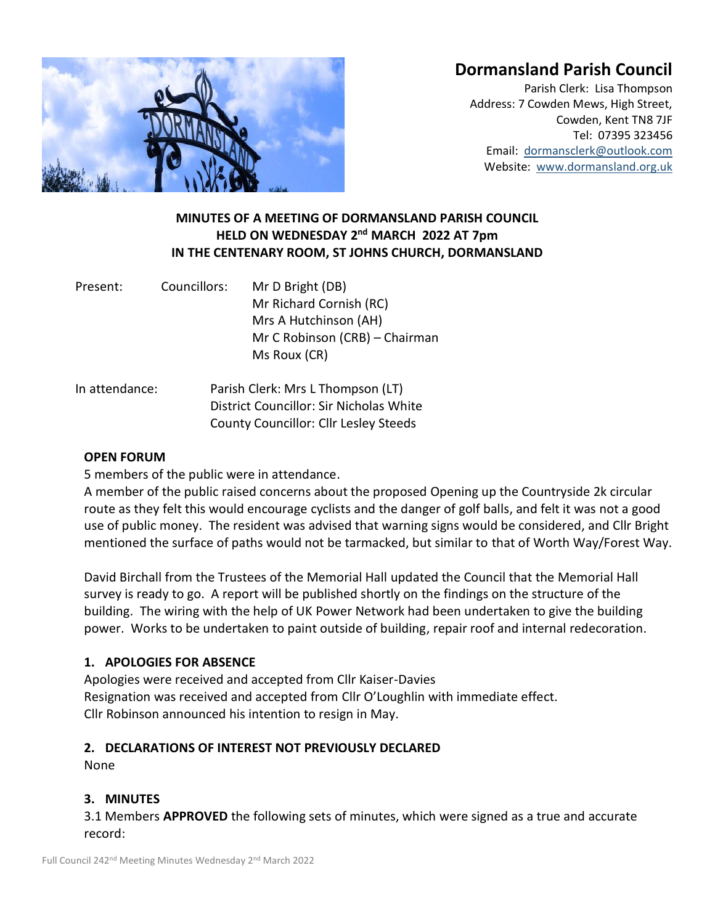# **Dormansland Parish Council**



Parish Clerk: Lisa Thompson Address: 7 Cowden Mews, High Street, Cowden, Kent TN8 7JF Tel: 07395 323456 Email: [dormansclerk@outlook.com](mailto:dormansclerk@outlook.com) Website: [www.dormansland.org.uk](http://www.dormansland.org.uk/)

# **MINUTES OF A MEETING OF DORMANSLAND PARISH COUNCIL HELD ON WEDNESDAY 2 nd MARCH 2022 AT 7pm IN THE CENTENARY ROOM, ST JOHNS CHURCH, DORMANSLAND**

| Present: | Councillors: | Mr D Bright (DB)               |  |
|----------|--------------|--------------------------------|--|
|          |              | Mr Richard Cornish (RC)        |  |
|          |              | Mrs A Hutchinson (AH)          |  |
|          |              | Mr C Robinson (CRB) – Chairman |  |
|          |              | Ms Roux (CR)                   |  |
|          |              |                                |  |

In attendance: Parish Clerk: Mrs L Thompson (LT) District Councillor: Sir Nicholas White County Councillor: Cllr Lesley Steeds

### **OPEN FORUM**

5 members of the public were in attendance.

A member of the public raised concerns about the proposed Opening up the Countryside 2k circular route as they felt this would encourage cyclists and the danger of golf balls, and felt it was not a good use of public money. The resident was advised that warning signs would be considered, and Cllr Bright mentioned the surface of paths would not be tarmacked, but similar to that of Worth Way/Forest Way.

David Birchall from the Trustees of the Memorial Hall updated the Council that the Memorial Hall survey is ready to go. A report will be published shortly on the findings on the structure of the building. The wiring with the help of UK Power Network had been undertaken to give the building power. Works to be undertaken to paint outside of building, repair roof and internal redecoration.

# **1. APOLOGIES FOR ABSENCE**

Apologies were received and accepted from Cllr Kaiser-Davies Resignation was received and accepted from Cllr O'Loughlin with immediate effect. Cllr Robinson announced his intention to resign in May.

### **2. DECLARATIONS OF INTEREST NOT PREVIOUSLY DECLARED**

None

### **3. MINUTES**

3.1 Members **APPROVED** the following sets of minutes, which were signed as a true and accurate record: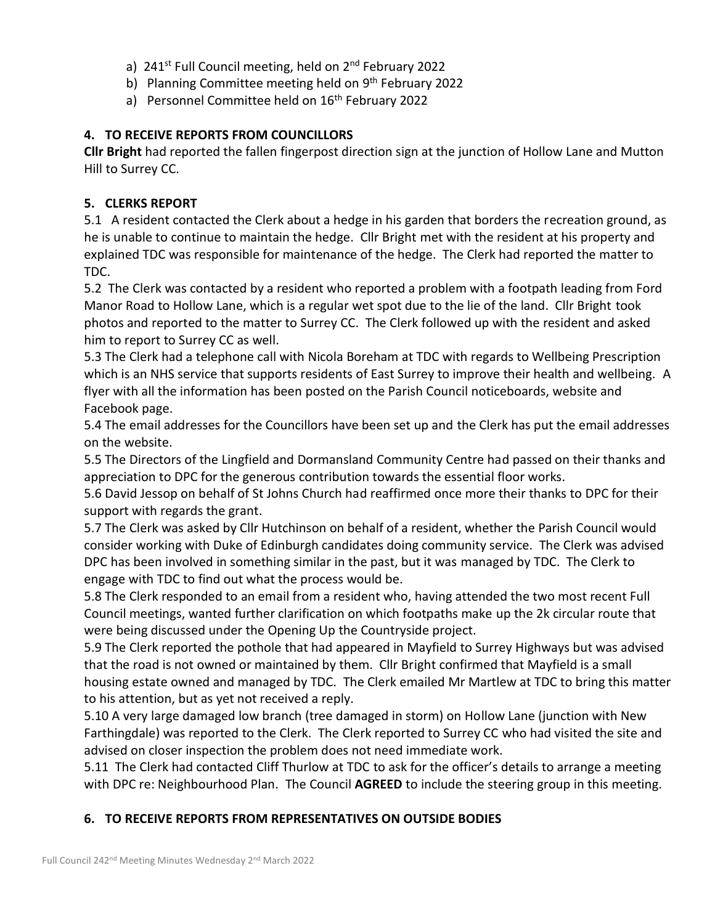- a) 241<sup>st</sup> Full Council meeting, held on 2<sup>nd</sup> February 2022
- b) Planning Committee meeting held on 9<sup>th</sup> February 2022
- a) Personnel Committee held on 16<sup>th</sup> February 2022

# **4. TO RECEIVE REPORTS FROM COUNCILLORS**

**Cllr Bright** had reported the fallen fingerpost direction sign at the junction of Hollow Lane and Mutton Hill to Surrey CC.

# **5. CLERKS REPORT**

5.1 A resident contacted the Clerk about a hedge in his garden that borders the recreation ground, as he is unable to continue to maintain the hedge. Cllr Bright met with the resident at his property and explained TDC was responsible for maintenance of the hedge. The Clerk had reported the matter to TDC.

5.2 The Clerk was contacted by a resident who reported a problem with a footpath leading from Ford Manor Road to Hollow Lane, which is a regular wet spot due to the lie of the land. Cllr Bright took photos and reported to the matter to Surrey CC. The Clerk followed up with the resident and asked him to report to Surrey CC as well.

5.3 The Clerk had a telephone call with Nicola Boreham at TDC with regards to Wellbeing Prescription which is an NHS service that supports residents of East Surrey to improve their health and wellbeing. A flyer with all the information has been posted on the Parish Council noticeboards, website and Facebook page.

5.4 The email addresses for the Councillors have been set up and the Clerk has put the email addresses on the website.

5.5 The Directors of the Lingfield and Dormansland Community Centre had passed on their thanks and appreciation to DPC for the generous contribution towards the essential floor works.

5.6 David Jessop on behalf of St Johns Church had reaffirmed once more their thanks to DPC for their support with regards the grant.

5.7 The Clerk was asked by Cllr Hutchinson on behalf of a resident, whether the Parish Council would consider working with Duke of Edinburgh candidates doing community service. The Clerk was advised DPC has been involved in something similar in the past, but it was managed by TDC. The Clerk to engage with TDC to find out what the process would be.

5.8 The Clerk responded to an email from a resident who, having attended the two most recent Full Council meetings, wanted further clarification on which footpaths make up the 2k circular route that were being discussed under the Opening Up the Countryside project.

5.9 The Clerk reported the pothole that had appeared in Mayfield to Surrey Highways but was advised that the road is not owned or maintained by them. Cllr Bright confirmed that Mayfield is a small housing estate owned and managed by TDC. The Clerk emailed Mr Martlew at TDC to bring this matter to his attention, but as yet not received a reply.

5.10 A very large damaged low branch (tree damaged in storm) on Hollow Lane (junction with New Farthingdale) was reported to the Clerk. The Clerk reported to Surrey CC who had visited the site and advised on closer inspection the problem does not need immediate work.

5.11 The Clerk had contacted Cliff Thurlow at TDC to ask for the officer's details to arrange a meeting with DPC re: Neighbourhood Plan. The Council **AGREED** to include the steering group in this meeting.

# **6. TO RECEIVE REPORTS FROM REPRESENTATIVES ON OUTSIDE BODIES**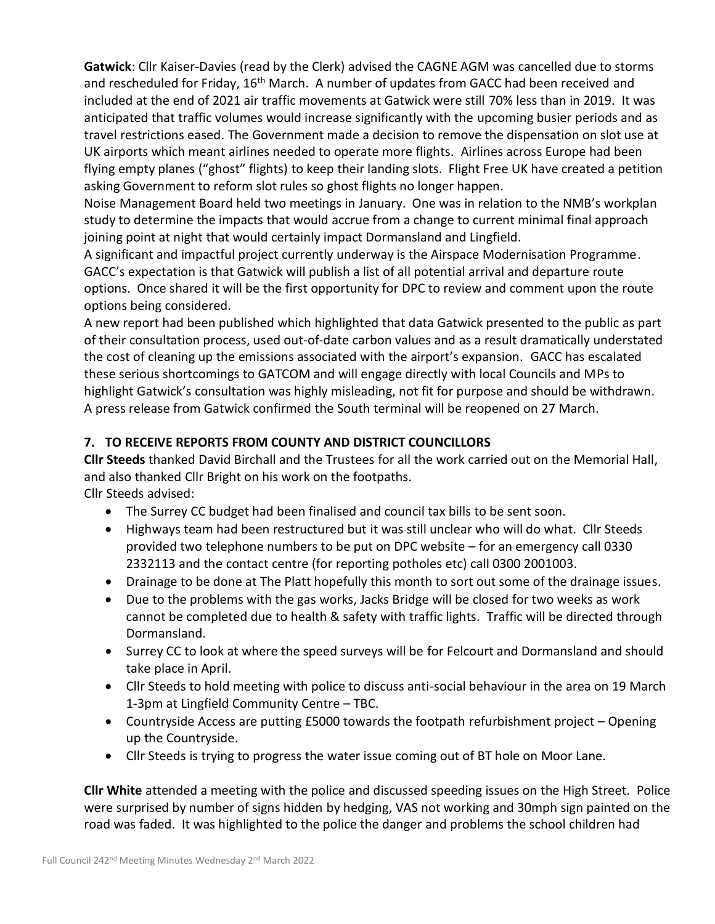**Gatwick**: Cllr Kaiser-Davies (read by the Clerk) advised the CAGNE AGM was cancelled due to storms and rescheduled for Friday, 16<sup>th</sup> March. A number of updates from GACC had been received and included at the end of 2021 air traffic movements at Gatwick were still 70% less than in 2019. It was anticipated that traffic volumes would increase significantly with the upcoming busier periods and as travel restrictions eased. The Government made a decision to remove the dispensation on slot use at UK airports which meant airlines needed to operate more flights. Airlines across Europe had been flying empty planes ("ghost" flights) to keep their landing slots. Flight Free UK have created a petition asking Government to reform slot rules so ghost flights no longer happen.

Noise Management Board held two meetings in January. One was in relation to the NMB's workplan study to determine the impacts that would accrue from a change to current minimal final approach joining point at night that would certainly impact Dormansland and Lingfield.

A significant and impactful project currently underway is the Airspace Modernisation Programme. GACC's expectation is that Gatwick will publish a list of all potential arrival and departure route options. Once shared it will be the first opportunity for DPC to review and comment upon the route options being considered.

A new report had been published which highlighted that data Gatwick presented to the public as part of their consultation process, used out-of-date carbon values and as a result dramatically understated the cost of cleaning up the emissions associated with the airport's expansion. GACC has escalated these serious shortcomings to GATCOM and will engage directly with local Councils and MPs to highlight Gatwick's consultation was highly misleading, not fit for purpose and should be withdrawn. A press release from Gatwick confirmed the South terminal will be reopened on 27 March.

# **7. TO RECEIVE REPORTS FROM COUNTY AND DISTRICT COUNCILLORS**

**Cllr Steeds** thanked David Birchall and the Trustees for all the work carried out on the Memorial Hall, and also thanked Cllr Bright on his work on the footpaths. Cllr Steeds advised:

- The Surrey CC budget had been finalised and council tax bills to be sent soon.
- Highways team had been restructured but it was still unclear who will do what. Cllr Steeds provided two telephone numbers to be put on DPC website – for an emergency call 0330 2332113 and the contact centre (for reporting potholes etc) call 0300 2001003.
- Drainage to be done at The Platt hopefully this month to sort out some of the drainage issues.
- Due to the problems with the gas works, Jacks Bridge will be closed for two weeks as work cannot be completed due to health & safety with traffic lights. Traffic will be directed through Dormansland.
- Surrey CC to look at where the speed surveys will be for Felcourt and Dormansland and should take place in April.
- Cllr Steeds to hold meeting with police to discuss anti-social behaviour in the area on 19 March 1-3pm at Lingfield Community Centre – TBC.
- Countryside Access are putting £5000 towards the footpath refurbishment project Opening up the Countryside.
- Cllr Steeds is trying to progress the water issue coming out of BT hole on Moor Lane.

**Cllr White** attended a meeting with the police and discussed speeding issues on the High Street. Police were surprised by number of signs hidden by hedging, VAS not working and 30mph sign painted on the road was faded. It was highlighted to the police the danger and problems the school children had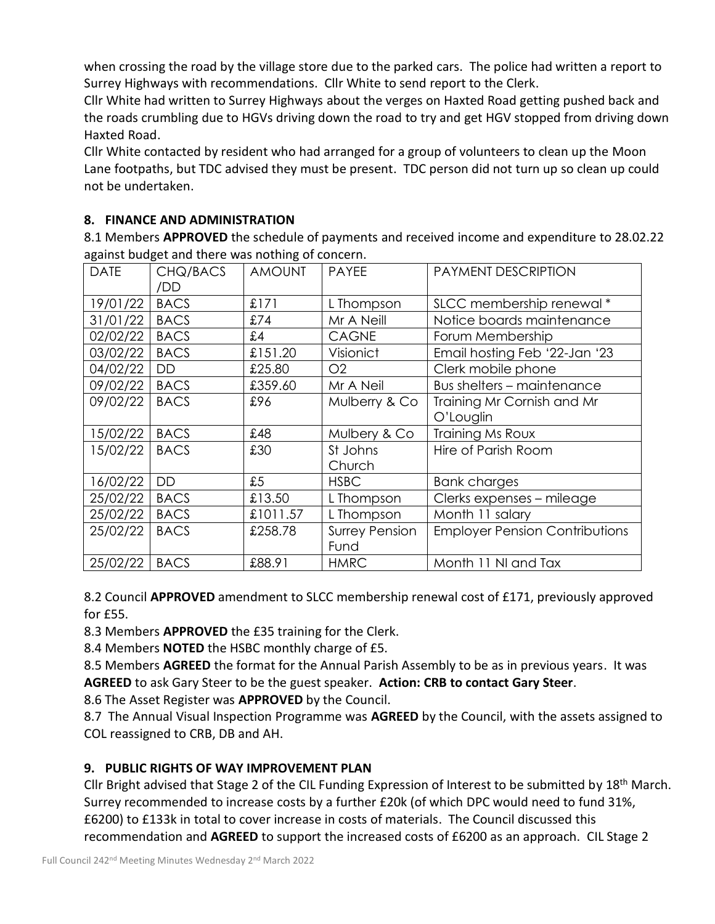when crossing the road by the village store due to the parked cars. The police had written a report to Surrey Highways with recommendations. Cllr White to send report to the Clerk.

Cllr White had written to Surrey Highways about the verges on Haxted Road getting pushed back and the roads crumbling due to HGVs driving down the road to try and get HGV stopped from driving down Haxted Road.

Cllr White contacted by resident who had arranged for a group of volunteers to clean up the Moon Lane footpaths, but TDC advised they must be present. TDC person did not turn up so clean up could not be undertaken.

# **8. FINANCE AND ADMINISTRATION**

8.1 Members **APPROVED** the schedule of payments and received income and expenditure to 28.02.22 against budget and there was nothing of concern.

| <b>DATE</b> | CHQ/BACS<br>/DD | <b>AMOUNT</b> | <b>PAYEE</b>          | PAYMENT DESCRIPTION                   |
|-------------|-----------------|---------------|-----------------------|---------------------------------------|
| 19/01/22    | <b>BACS</b>     | £171          | L Thompson            | SLCC membership renewal*              |
| 31/01/22    | <b>BACS</b>     | £74           | Mr A Neill            | Notice boards maintenance             |
| 02/02/22    | <b>BACS</b>     | £4            | <b>CAGNE</b>          | Forum Membership                      |
| 03/02/22    | <b>BACS</b>     | £151.20       | Visionict             | Email hosting Feb '22-Jan '23         |
| 04/02/22    | DD              | £25.80        | O <sub>2</sub>        | Clerk mobile phone                    |
| 09/02/22    | <b>BACS</b>     | £359.60       | Mr A Neil             | Bus shelters - maintenance            |
| 09/02/22    | <b>BACS</b>     | £96           | Mulberry & Co         | Training Mr Cornish and Mr            |
|             |                 |               |                       | O'Louglin                             |
| 15/02/22    | <b>BACS</b>     | £48           | Mulbery & Co          | Training Ms Roux                      |
| 15/02/22    | <b>BACS</b>     | £30           | St Johns              | Hire of Parish Room                   |
|             |                 |               | Church                |                                       |
| 16/02/22    | DD              | £5            | <b>HSBC</b>           | <b>Bank charges</b>                   |
| 25/02/22    | <b>BACS</b>     | £13.50        | L Thompson            | Clerks expenses - mileage             |
| 25/02/22    | <b>BACS</b>     | £1011.57      | L Thompson            | Month 11 salary                       |
| 25/02/22    | <b>BACS</b>     | £258.78       | <b>Surrey Pension</b> | <b>Employer Pension Contributions</b> |
|             |                 |               | Fund                  |                                       |
| 25/02/22    | <b>BACS</b>     | £88.91        | <b>HMRC</b>           | Month 11 NI and Tax                   |

8.2 Council **APPROVED** amendment to SLCC membership renewal cost of £171, previously approved for £55.

8.3 Members **APPROVED** the £35 training for the Clerk.

8.4 Members **NOTED** the HSBC monthly charge of £5.

8.5 Members **AGREED** the format for the Annual Parish Assembly to be as in previous years. It was **AGREED** to ask Gary Steer to be the guest speaker. **Action: CRB to contact Gary Steer**.

8.6 The Asset Register was **APPROVED** by the Council.

8.7 The Annual Visual Inspection Programme was **AGREED** by the Council, with the assets assigned to COL reassigned to CRB, DB and AH.

# **9. PUBLIC RIGHTS OF WAY IMPROVEMENT PLAN**

Cllr Bright advised that Stage 2 of the CIL Funding Expression of Interest to be submitted by 18<sup>th</sup> March. Surrey recommended to increase costs by a further £20k (of which DPC would need to fund 31%, £6200) to £133k in total to cover increase in costs of materials. The Council discussed this recommendation and **AGREED** to support the increased costs of £6200 as an approach. CIL Stage 2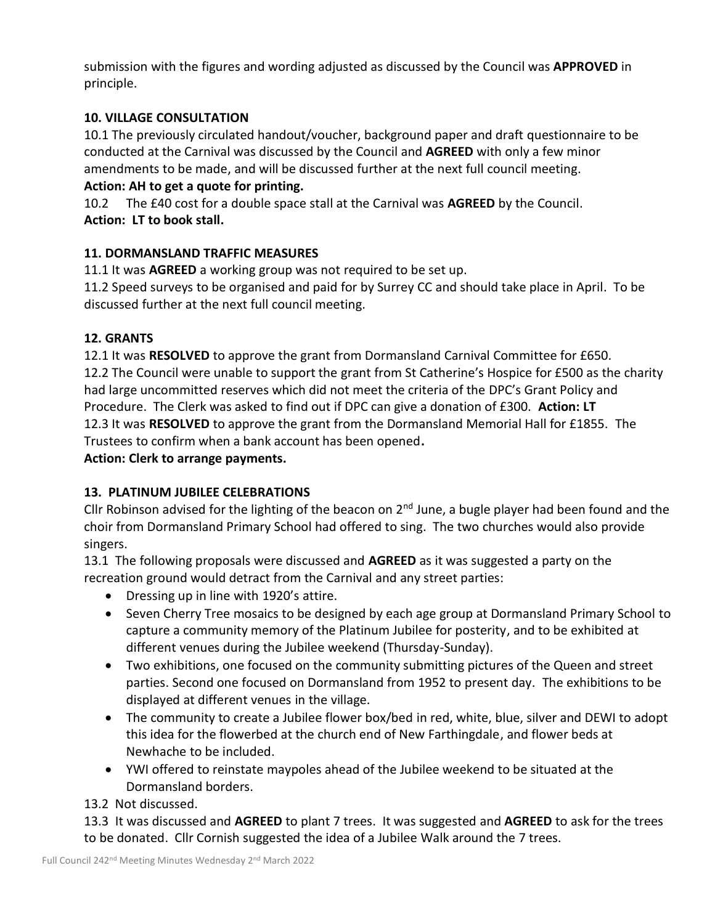submission with the figures and wording adjusted as discussed by the Council was **APPROVED** in principle.

# **10. VILLAGE CONSULTATION**

10.1 The previously circulated handout/voucher, background paper and draft questionnaire to be conducted at the Carnival was discussed by the Council and **AGREED** with only a few minor amendments to be made, and will be discussed further at the next full council meeting.

### **Action: AH to get a quote for printing.**

10.2 The £40 cost for a double space stall at the Carnival was **AGREED** by the Council. **Action: LT to book stall.**

# **11. DORMANSLAND TRAFFIC MEASURES**

11.1 It was **AGREED** a working group was not required to be set up.

11.2 Speed surveys to be organised and paid for by Surrey CC and should take place in April. To be discussed further at the next full council meeting.

# **12. GRANTS**

12.1 It was **RESOLVED** to approve the grant from Dormansland Carnival Committee for £650. 12.2 The Council were unable to support the grant from St Catherine's Hospice for £500 as the charity had large uncommitted reserves which did not meet the criteria of the DPC's Grant Policy and Procedure. The Clerk was asked to find out if DPC can give a donation of £300. **Action: LT** 12.3 It was **RESOLVED** to approve the grant from the Dormansland Memorial Hall for £1855. The Trustees to confirm when a bank account has been opened**.**

# **Action: Clerk to arrange payments.**

# **13. PLATINUM JUBILEE CELEBRATIONS**

Cllr Robinson advised for the lighting of the beacon on  $2<sup>nd</sup>$  June, a bugle player had been found and the choir from Dormansland Primary School had offered to sing. The two churches would also provide singers.

13.1 The following proposals were discussed and **AGREED** as it was suggested a party on the recreation ground would detract from the Carnival and any street parties:

- Dressing up in line with 1920's attire.
- Seven Cherry Tree mosaics to be designed by each age group at Dormansland Primary School to capture a community memory of the Platinum Jubilee for posterity, and to be exhibited at different venues during the Jubilee weekend (Thursday-Sunday).
- Two exhibitions, one focused on the community submitting pictures of the Queen and street parties. Second one focused on Dormansland from 1952 to present day. The exhibitions to be displayed at different venues in the village.
- The community to create a Jubilee flower box/bed in red, white, blue, silver and DEWI to adopt this idea for the flowerbed at the church end of New Farthingdale, and flower beds at Newhache to be included.
- YWI offered to reinstate maypoles ahead of the Jubilee weekend to be situated at the Dormansland borders.

13.2 Not discussed.

13.3 It was discussed and **AGREED** to plant 7 trees. It was suggested and **AGREED** to ask for the trees to be donated. Cllr Cornish suggested the idea of a Jubilee Walk around the 7 trees.